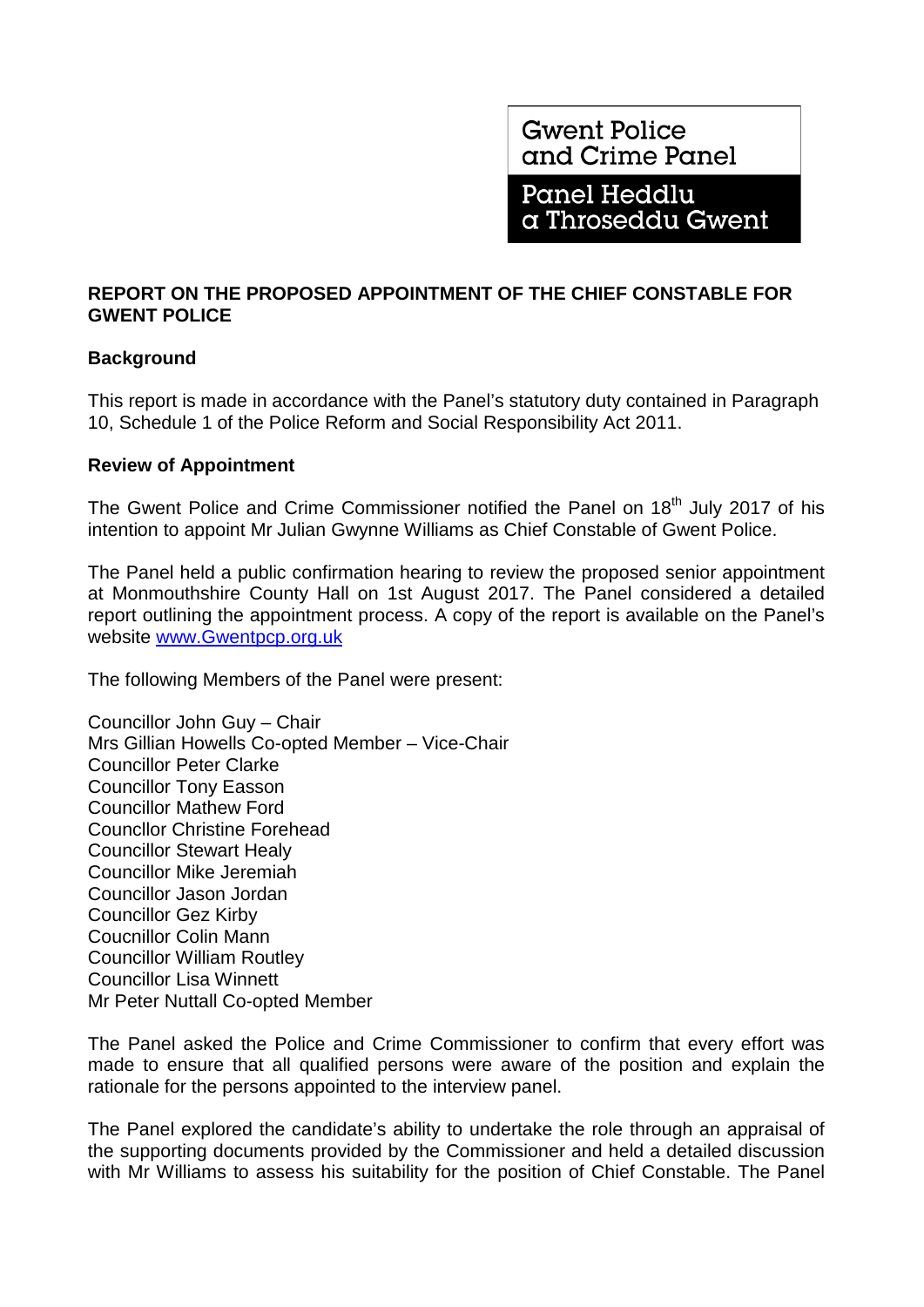**Gwent Police** and Crime Panel

**Panel Heddlu** a Throseddu Gwent

# **REPORT ON THE PROPOSED APPOINTMENT OF THE CHIEF CONSTABLE FOR GWENT POLICE**

# **Background**

This report is made in accordance with the Panel's statutory duty contained in Paragraph 10, Schedule 1 of the Police Reform and Social Responsibility Act 2011.

## **Review of Appointment**

The Gwent Police and Crime Commissioner notified the Panel on 18<sup>th</sup> July 2017 of his intention to appoint Mr Julian Gwynne Williams as Chief Constable of Gwent Police.

The Panel held a public confirmation hearing to review the proposed senior appointment at Monmouthshire County Hall on 1st August 2017. The Panel considered a detailed report outlining the appointment process. A copy of the report is available on the Panel's website [www.Gwentpcp.org.uk](http://www.gwentpcp.org.uk/)

The following Members of the Panel were present:

Councillor John Guy – Chair Mrs Gillian Howells Co-opted Member – Vice-Chair Councillor Peter Clarke Councillor Tony Easson Councillor Mathew Ford Councllor Christine Forehead Councillor Stewart Healy Councillor Mike Jeremiah Councillor Jason Jordan Councillor Gez Kirby Coucnillor Colin Mann Councillor William Routley Councillor Lisa Winnett Mr Peter Nuttall Co-opted Member

The Panel asked the Police and Crime Commissioner to confirm that every effort was made to ensure that all qualified persons were aware of the position and explain the rationale for the persons appointed to the interview panel.

The Panel explored the candidate's ability to undertake the role through an appraisal of the supporting documents provided by the Commissioner and held a detailed discussion with Mr Williams to assess his suitability for the position of Chief Constable. The Panel